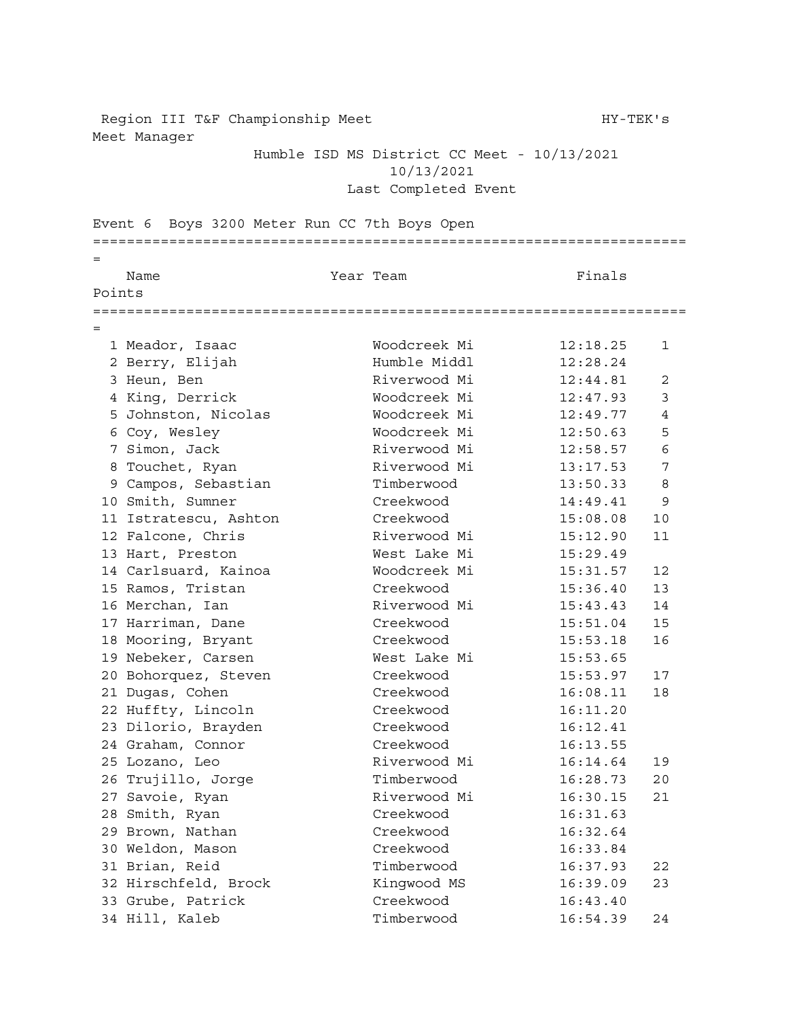Region III T&F Championship Meet HY-TEK's Meet Manager

Humble ISD MS District CC Meet - 10/13/2021 10/13/2021 Last Completed Event

Event 6 Boys 3200 Meter Run CC 7th Boys Open ====================================================================== = Name **Name Star Team Part In the Starbur** School and Team **Finals** Points ====================================================================== = Meador, Isaac Woodcreek Mi 12:18.25 1 Berry, Elijah Humble Middl 12:28.24 3 Heun, Ben Riverwood Mi 12:44.81 2 King, Derrick Woodcreek Mi 12:47.93 3 Johnston, Nicolas Woodcreek Mi 12:49.77 4 Coy, Wesley Woodcreek Mi 12:50.63 5 Simon, Jack Riverwood Mi 12:58.57 6 8 Touchet, Ryan Riverwood Mi 13:17.53 7 9 Campos, Sebastian Timberwood 13:50.33 8 Smith, Sumner Creekwood 14:49.41 9 Istratescu, Ashton Creekwood 15:08.08 10 12 Falcone, Chris Riverwood Mi 15:12.90 11 Hart, Preston West Lake Mi 15:29.49 Carlsuard, Kainoa Woodcreek Mi 15:31.57 12 Ramos, Tristan Creekwood 15:36.40 13 16 Merchan, Ian Riverwood Mi 15:43.43 14<br>17 Harriman, Dane Creekwood 15:51.04 15 Harriman, Dane Creekwood 15:51.04 15 Mooring, Bryant Creekwood 15:53.18 16 Nebeker, Carsen West Lake Mi 15:53.65 Bohorquez, Steven Creekwood 15:53.97 17 Dugas, Cohen Creekwood 16:08.11 18 Huffty, Lincoln Creekwood 16:11.20 Dilorio, Brayden Creekwood 16:12.41 Graham, Connor Creekwood 16:13.55 Lozano, Leo Riverwood Mi 16:14.64 19 26 Trujillo, Jorge Timberwood 16:28.73 20 Savoie, Ryan Riverwood Mi 16:30.15 21 Smith, Ryan Creekwood 16:31.63 Brown, Nathan Creekwood 16:32.64 Weldon, Mason Creekwood 16:33.84 Brian, Reid Timberwood 16:37.93 22 Hirschfeld, Brock Kingwood MS 16:39.09 23 Grube, Patrick Creekwood 16:43.40 Hill, Kaleb Timberwood 16:54.39 24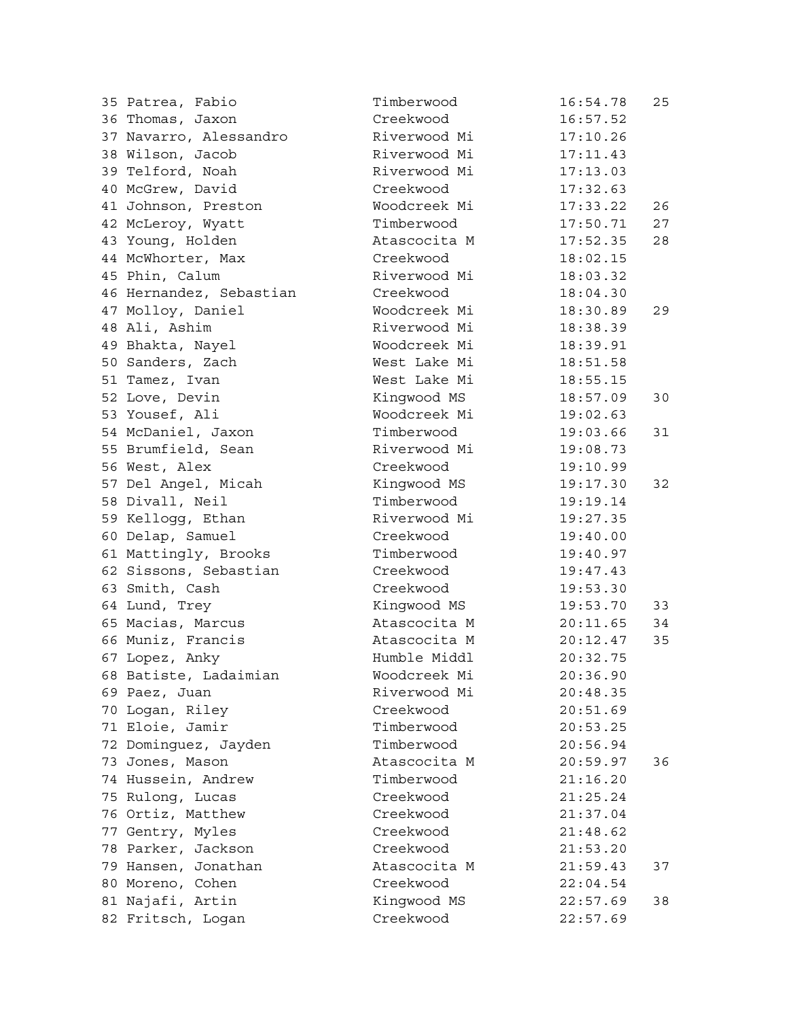| 35 Patrea, Fabio        | Timberwood   | 16:54.78 | 25 |
|-------------------------|--------------|----------|----|
| 36 Thomas, Jaxon        | Creekwood    | 16:57.52 |    |
| 37 Navarro, Alessandro  | Riverwood Mi | 17:10.26 |    |
| 38 Wilson, Jacob        | Riverwood Mi | 17:11.43 |    |
| 39 Telford, Noah        | Riverwood Mi | 17:13.03 |    |
| 40 McGrew, David        | Creekwood    | 17:32.63 |    |
| 41 Johnson, Preston     | Woodcreek Mi | 17:33.22 | 26 |
| 42 McLeroy, Wyatt       | Timberwood   | 17:50.71 | 27 |
| 43 Young, Holden        | Atascocita M | 17:52.35 | 28 |
| 44 McWhorter, Max       | Creekwood    | 18:02.15 |    |
| 45 Phin, Calum          | Riverwood Mi | 18:03.32 |    |
| 46 Hernandez, Sebastian | Creekwood    | 18:04.30 |    |
| 47 Molloy, Daniel       | Woodcreek Mi | 18:30.89 | 29 |
| 48 Ali, Ashim           | Riverwood Mi | 18:38.39 |    |
| 49 Bhakta, Nayel        | Woodcreek Mi | 18:39.91 |    |
| 50 Sanders, Zach        | West Lake Mi | 18:51.58 |    |
| 51 Tamez, Ivan          | West Lake Mi | 18:55.15 |    |
| 52 Love, Devin          | Kingwood MS  | 18:57.09 | 30 |
| 53 Yousef, Ali          | Woodcreek Mi | 19:02.63 |    |
| 54 McDaniel, Jaxon      | Timberwood   | 19:03.66 | 31 |
| 55 Brumfield, Sean      | Riverwood Mi | 19:08.73 |    |
| 56 West, Alex           | Creekwood    | 19:10.99 |    |
| 57 Del Angel, Micah     | Kingwood MS  | 19:17.30 | 32 |
|                         | Timberwood   |          |    |
| 58 Divall, Neil         | Riverwood Mi | 19:19.14 |    |
| 59 Kellogg, Ethan       |              | 19:27.35 |    |
| 60 Delap, Samuel        | Creekwood    | 19:40.00 |    |
| 61 Mattingly, Brooks    | Timberwood   | 19:40.97 |    |
| 62 Sissons, Sebastian   | Creekwood    | 19:47.43 |    |
| 63 Smith, Cash          | Creekwood    | 19:53.30 |    |
| 64 Lund, Trey           | Kingwood MS  | 19:53.70 | 33 |
| 65 Macias, Marcus       | Atascocita M | 20:11.65 | 34 |
| 66 Muniz, Francis       | Atascocita M | 20:12.47 | 35 |
| 67 Lopez, Anky          | Humble Middl | 20:32.75 |    |
| 68 Batiste, Ladaimian   | Woodcreek Mi | 20:36.90 |    |
| 69 Paez, Juan           | Riverwood Mi | 20:48.35 |    |
| 70 Logan, Riley         | Creekwood    | 20:51.69 |    |
| 71 Eloie, Jamir         | Timberwood   | 20:53.25 |    |
| 72 Dominguez, Jayden    | Timberwood   | 20:56.94 |    |
| 73 Jones, Mason         | Atascocita M | 20:59.97 | 36 |
| 74 Hussein, Andrew      | Timberwood   | 21:16.20 |    |
| 75 Rulong, Lucas        | Creekwood    | 21:25.24 |    |
| 76 Ortiz, Matthew       | Creekwood    | 21:37.04 |    |
| 77 Gentry, Myles        | Creekwood    | 21:48.62 |    |
| 78 Parker, Jackson      | Creekwood    | 21:53.20 |    |
| 79 Hansen, Jonathan     | Atascocita M | 21:59.43 | 37 |
| 80 Moreno, Cohen        | Creekwood    | 22:04.54 |    |
| 81 Najafi, Artin        | Kingwood MS  | 22:57.69 | 38 |
| 82 Fritsch, Logan       | Creekwood    | 22:57.69 |    |